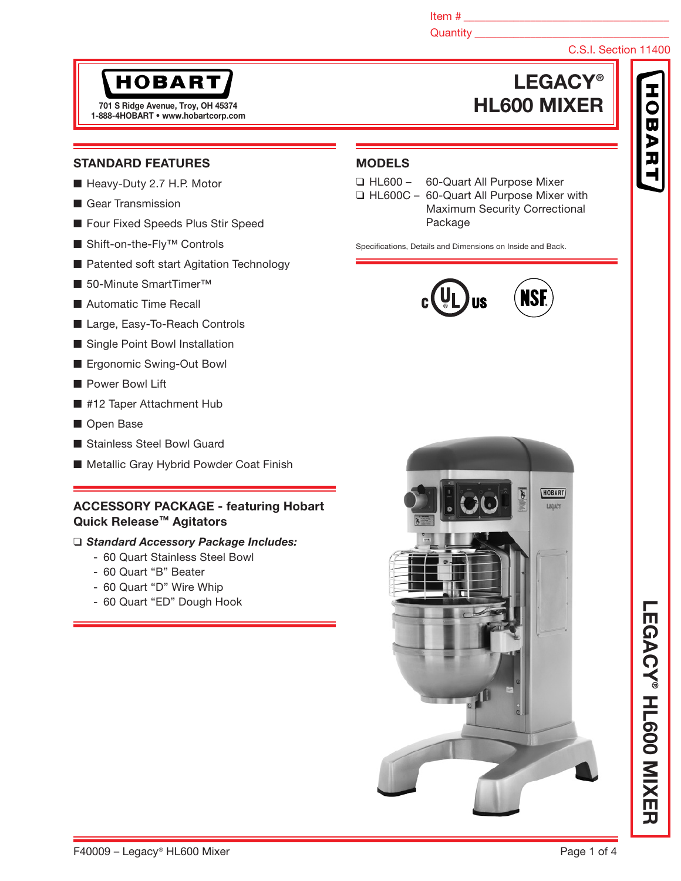Item  $\#$ 

## Quantity **Quantity**

# C.S.I. Section 11400

# **HOBART**

1-888-4HOBART • www.hobartcorp.com

# LEGACY® 701 S Ridge Avenue, Troy, OH 45374 **HL600 MIXER**

## STANDARD FEATURES

- Heavy-Duty 2.7 H.P. Motor
- Gear Transmission
- Four Fixed Speeds Plus Stir Speed
- Shift-on-the-Fly<sup>™</sup> Controls
- Patented soft start Agitation Technology
- 50-Minute SmartTimer<sup>™</sup>
- Automatic Time Recall
- Large, Easy-To-Reach Controls
- Single Point Bowl Installation
- Ergonomic Swing-Out Bowl
- Power Bowl Lift
- #12 Taper Attachment Hub
- Open Base
- Stainless Steel Bowl Guard
- Metallic Gray Hybrid Powder Coat Finish

## ACCESSORY PACKAGE - featuring Hobart Quick Release™ Agitators

## ❑ *Standard Accessory Package Includes:*

- 60 Quart Stainless Steel Bowl
- 60 Quart "B" Beater
- 60 Quart "D" Wire Whip
- 60 Quart "ED" Dough Hook



# MODELS

- 
- ❑ HL600 60-Quart All Purpose Mixer
- ❑ HL600C 60-Quart All Purpose Mixer with Maximum Security Correctional Package

Specifications, Details and Dimensions on Inside and Back.





LEGACY

® HL600 MIXER

LEGACY® HLGOO NIXER

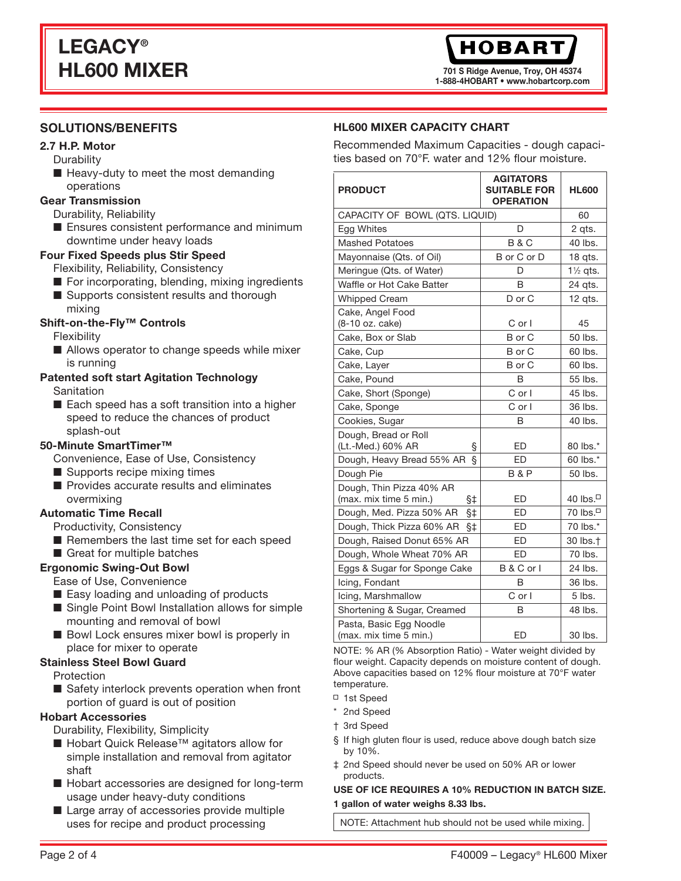701 S Ridge Avenue, Troy, OH 45374 1-888-4HOBART • www.hobartcorp.com

# **SOLUTIONS/BENEFITS**

# 2.7 H.P. Motor

- **Durability**
- Heavy-duty to meet the most demanding operations

# Gear Transmission

- Durability, Reliability
- Ensures consistent performance and minimum downtime under heavy loads

## Four Fixed Speeds plus Stir Speed

- Flexibility, Reliability, Consistency
- For incorporating, blending, mixing ingredients
- Supports consistent results and thorough mixing

# Shift-on-the-Fly™ Controls

Flexibility

■ Allows operator to change speeds while mixer is running

#### Patented soft start Agitation Technology **Sanitation**

■ Each speed has a soft transition into a higher speed to reduce the chances of product splash-out

# 50-Minute SmartTimer™

Convenience, Ease of Use, Consistency

- Supports recipe mixing times
- Provides accurate results and eliminates overmixing

# Automatic Time Recall

- Productivity, Consistency
- Remembers the last time set for each speed
- Great for multiple batches

# Ergonomic Swing-Out Bowl

- Ease of Use, Convenience
- Easy loading and unloading of products
- Single Point Bowl Installation allows for simple mounting and removal of bowl
- Bowl Lock ensures mixer bowl is properly in place for mixer to operate

# Stainless Steel Bowl Guard

- Protection
- Safety interlock prevents operation when front portion of guard is out of position

# Hobart Accessories

Durability, Flexibility, Simplicity

- Hobart Quick Release<sup>™</sup> agitators allow for simple installation and removal from agitator shaft
- Hobart accessories are designed for long-term usage under heavy-duty conditions
- Large array of accessories provide multiple uses for recipe and product processing

# HL600 MIXER CAPACITY CHART

Recommended Maximum Capacities - dough capacities based on 70°F. water and 12% flour moisture.

| <b>PRODUCT</b>                                              | AGITATORS<br><b>SUITABLE FOR</b><br><b>OPERATION</b> | <b>HL600</b>         |
|-------------------------------------------------------------|------------------------------------------------------|----------------------|
| CAPACITY OF BOWL (QTS. LIQUID)                              |                                                      | 60                   |
| Egg Whites                                                  | D                                                    | 2 qts.               |
| <b>Mashed Potatoes</b>                                      | <b>B&amp;C</b>                                       | 40 lbs.              |
| Mayonnaise (Qts. of Oil)                                    | B or C or D                                          | 18 qts.              |
| Meringue (Qts. of Water)                                    | D                                                    | $1\frac{1}{2}$ qts.  |
| Waffle or Hot Cake Batter                                   | B                                                    | 24 qts.              |
| <b>Whipped Cream</b>                                        | D or C                                               | 12 qts.              |
| Cake, Angel Food<br>(8-10 oz. cake)                         | C or I                                               | 45                   |
| Cake, Box or Slab                                           | B or C                                               | 50 lbs.              |
| Cake, Cup                                                   | B or C                                               | 60 lbs.              |
| Cake, Layer                                                 | B or C                                               | 60 lbs.              |
| Cake, Pound                                                 | B                                                    | 55 lbs.              |
| Cake, Short (Sponge)                                        | $C$ or $I$                                           | 45 lbs.              |
| Cake, Sponge                                                | $C$ or $I$                                           | 36 lbs.              |
| Cookies, Sugar                                              | B                                                    | 40 lbs.              |
| Dough, Bread or Roll<br>(Lt.-Med.) 60% AR<br>ş              | ED                                                   | 80 lbs.*             |
| ş<br>Dough, Heavy Bread 55% AR                              | ED                                                   | 60 lbs.*             |
| Dough Pie                                                   | <b>B&amp;P</b>                                       | 50 lbs.              |
| Dough, Thin Pizza 40% AR<br>(max. mix time 5 min.)<br>$§$ ‡ | ED                                                   | 40 lbs. $\Box$       |
| Dough, Med. Pizza 50% AR<br>§‡                              | <b>ED</b>                                            | 70 lbs. <sup>□</sup> |
| Dough, Thick Pizza 60% AR<br>§‡                             | <b>ED</b>                                            | 70 lbs.*             |
| Dough, Raised Donut 65% AR                                  | ED                                                   | 30 lbs. <sup>+</sup> |
| Dough, Whole Wheat 70% AR                                   | ED                                                   | 70 lbs.              |
| Eggs & Sugar for Sponge Cake                                | B & C or I                                           | 24 lbs.              |
| Icing, Fondant                                              | B                                                    | 36 lbs.              |
| Icing, Marshmallow                                          | $C$ or $I$                                           | $5$ lbs.             |
| Shortening & Sugar, Creamed                                 | В                                                    | 48 lbs.              |
| Pasta, Basic Egg Noodle<br>(max. mix time 5 min.)           | <b>ED</b>                                            | 30 lbs.              |

NOTE: % AR (% Absorption Ratio) - Water weight divided by flour weight. Capacity depends on moisture content of dough. Above capacities based on 12% flour moisture at 70°F water temperature.

- □ 1st Speed
- \* 2nd Speed
- † 3rd Speed
- § If high gluten flour is used, reduce above dough batch size by 10%.
- ‡ 2nd Speed should never be used on 50% AR or lower products.

#### USE OF ICE REQUIRES A 10% REDUCTION IN BATCH SIZE. 1 gallon of water weighs 8.33 lbs.

NOTE: Attachment hub should not be used while mixing.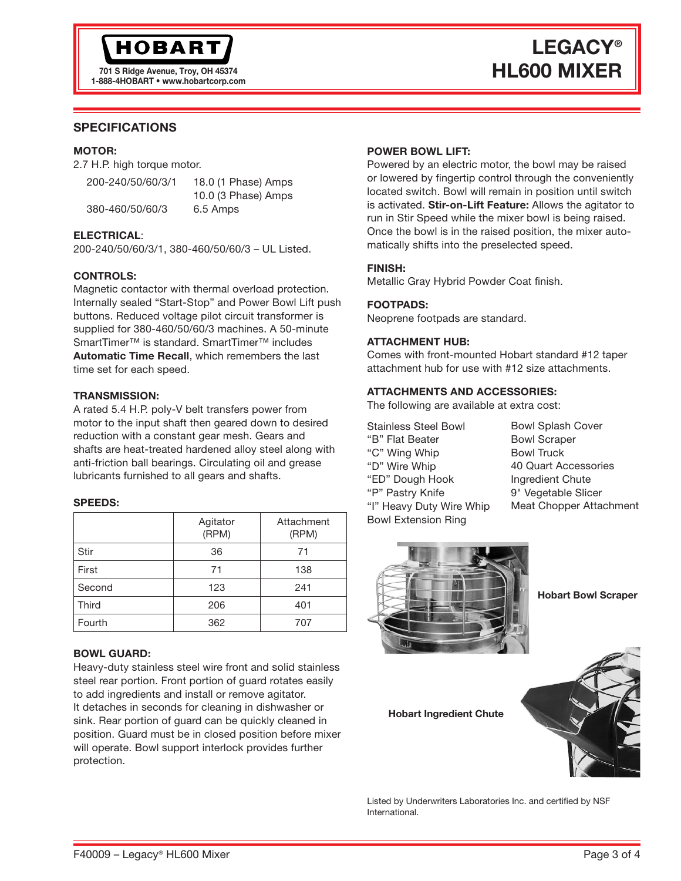# LEGACY® TO1 S Ridge Avenue, Troy, OH 45374 **HL600 MIXER**

# SPECIFICATIONS

### MOTOR:

2.7 H.P. high torque motor.

| 200-240/50/60/3/1 | 18.0 (1 Phase) Amps |
|-------------------|---------------------|
|                   | 10.0 (3 Phase) Amps |
| 380-460/50/60/3   | 6.5 Amps            |

## ELECTRICAL:

200-240/50/60/3/1, 380-460/50/60/3 – UL Listed.

## CONTROLS:

Magnetic contactor with thermal overload protection. Internally sealed "Start-Stop" and Power Bowl Lift push buttons. Reduced voltage pilot circuit transformer is supplied for 380-460/50/60/3 machines. A 50-minute SmartTimer™ is standard. SmartTimer™ includes Automatic Time Recall, which remembers the last time set for each speed.

## TRANSMISSION:

A rated 5.4 H.P. poly-V belt transfers power from motor to the input shaft then geared down to desired reduction with a constant gear mesh. Gears and shafts are heat-treated hardened alloy steel along with anti-friction ball bearings. Circulating oil and grease lubricants furnished to all gears and shafts.

## SPEEDS:

|              | Agitator<br>(RPM) | Attachment<br>(RPM) |
|--------------|-------------------|---------------------|
| Stir         | 36                | 71                  |
| First        | 71                | 138                 |
| Second       | 123               | 241                 |
| <b>Third</b> | 206               | 401                 |
| Fourth       | 362               | 707                 |

## BOWL GUARD:

Heavy-duty stainless steel wire front and solid stainless steel rear portion. Front portion of guard rotates easily to add ingredients and install or remove agitator. It detaches in seconds for cleaning in dishwasher or sink. Rear portion of guard can be quickly cleaned in position. Guard must be in closed position before mixer will operate. Bowl support interlock provides further protection.

## POWER BOWL LIFT:

Powered by an electric motor, the bowl may be raised or lowered by fingertip control through the conveniently located switch. Bowl will remain in position until switch is activated. Stir-on-Lift Feature: Allows the agitator to run in Stir Speed while the mixer bowl is being raised. Once the bowl is in the raised position, the mixer automatically shifts into the preselected speed.

## FINISH:

Metallic Gray Hybrid Powder Coat finish.

## FOOTPADS:

Neoprene footpads are standard.

### ATTACHMENT HUB:

Comes with front-mounted Hobart standard #12 taper attachment hub for use with #12 size attachments.

## ATTACHMENTS AND ACCESSORIES:

The following are available at extra cost:

Stainless Steel Bowl "B" Flat Beater "C" Wing Whip "D" Wire Whip "ED" Dough Hook "P" Pastry Knife "I" Heavy Duty Wire Whip Bowl Extension Ring

Bowl Splash Cover Bowl Scraper Bowl Truck 40 Quart Accessories Ingredient Chute 9" Vegetable Slicer Meat Chopper Attachment



Hobart Bowl Scraper

Hobart Ingredient Chute



Listed by Underwriters Laboratories Inc. and certified by NSF International.